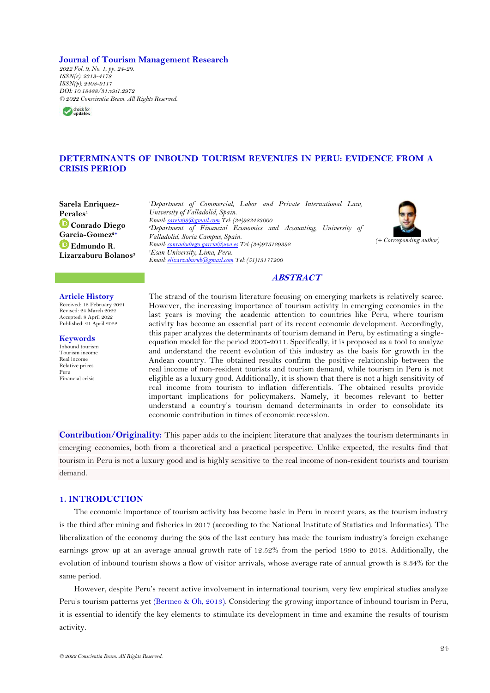## **Journal of Tourism Management Research**

*2022 Vol. 9, No. 1, pp. 24-29. ISSN(e): 2313-4178 ISSN(p): 2408-9117 DOI: 10.18488/31.v9i1.2972 © 2022 Conscientia Beam. All Rights Reserved.*



# **DETERMINANTS OF INBOUND TOURISM REVENUES IN PERU: EVIDENCE FROM A CRISIS PERIOD**

| Sarela Enriquez-                 |
|----------------------------------|
| Perales <sup>1</sup>             |
| Conrado Diego                    |
| Garcia-Gomez <sup>2+</sup>       |
| Edmundo R.                       |
| Lizarzaburu Bolanos <sup>3</sup> |

*<sup>1</sup>Department of Commercial, Labor and Private International Law, University of Valladolid, Spain. Email[: sarela99@gmail.com](mailto:sarela99@gmail.com) Tel: (34)983423000 <sup>2</sup>Department of Financial Economics and Accounting, University of Valladolid, Soria Campus, Spain. Email[: conradodiego.garcia@uva.es](mailto:conradodiego.garcia@uva.es) Tel: (34)975129392 <sup>3</sup>Esan University, Lima, Peru. Email[: elizarzaburub@gmail.com](mailto:elizarzaburub@gmail.com) Tel: (51)13177200*



# **ABSTRACT**

**Article History** Received: 18 February 2021 Revised: 24 March 2022 Accepted: 8 April 2022 Published: 21 April 2022

**Keywords** Inbound tourism Tourism income Real income Relative prices Peru Financial crisis.

The strand of the tourism literature focusing on emerging markets is relatively scarce. However, the increasing importance of tourism activity in emerging economies in the last years is moving the academic attention to countries like Peru, where tourism activity has become an essential part of its recent economic development. Accordingly, this paper analyzes the determinants of tourism demand in Peru, by estimating a singleequation model for the period 2007-2011. Specifically, it is proposed as a tool to analyze and understand the recent evolution of this industry as the basis for growth in the Andean country. The obtained results confirm the positive relationship between the real income of non-resident tourists and tourism demand, while tourism in Peru is not eligible as a luxury good. Additionally, it is shown that there is not a high sensitivity of real income from tourism to inflation differentials. The obtained results provide important implications for policymakers. Namely, it becomes relevant to better understand a country's tourism demand determinants in order to consolidate its economic contribution in times of economic recession.

**Contribution/Originality:** This paper adds to the incipient literature that analyzes the tourism determinants in emerging economies, both from a theoretical and a practical perspective. Unlike expected, the results find that tourism in Peru is not a luxury good and is highly sensitive to the real income of non-resident tourists and tourism demand.

# **1. INTRODUCTION**

The economic importance of tourism activity has become basic in Peru in recent years, as the tourism industry is the third after mining and fisheries in 2017 (according to the National Institute of Statistics and Informatics). The liberalization of the economy during the 90s of the last century has made the tourism industry's foreign exchange earnings grow up at an average annual growth rate of 12.52% from the period 1990 to 2018. Additionally, the evolution of inbound tourism shows a flow of visitor arrivals, whose average rate of annual growth is 8.34% for the same period.

However, despite Peru's recent active involvement in international tourism, very few empirical studies analyze Peru's tourism patterns yet [\(Bermeo & Oh, 2013\)](#page-4-0). Considering the growing importance of inbound tourism in Peru, it is essential to identify the key elements to stimulate its development in time and examine the results of tourism activity.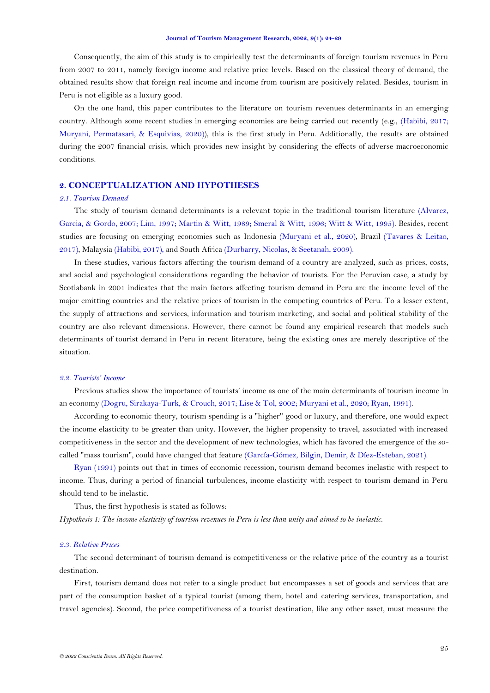#### **Journal of Tourism Management Research, 2022, 9(1): 24-29**

Consequently, the aim of this study is to empirically test the determinants of foreign tourism revenues in Peru from 2007 to 2011, namely foreign income and relative price levels. Based on the classical theory of demand, the obtained results show that foreign real income and income from tourism are positively related. Besides, tourism in Peru is not eligible as a luxury good.

On the one hand, this paper contributes to the literature on tourism revenues determinants in an emerging country. Although some recent studies in emerging economies are being carried out recently (e.g., [\(Habibi, 2017;](#page-4-1) [Muryani, Permatasari, & Esquivias, 2020\)](#page-5-0)), this is the first study in Peru. Additionally, the results are obtained during the 2007 financial crisis, which provides new insight by considering the effects of adverse macroeconomic conditions.

# **2. CONCEPTUALIZATION AND HYPOTHESES**

#### *2.1. Tourism Demand*

The study of tourism demand determinants is a relevant topic in the traditional tourism literature [\(Alvarez,](#page-4-2)  [Garcia, & Gordo, 2007;](#page-4-2) [Lim, 1997;](#page-5-1) [Martin & Witt, 1989;](#page-5-2) [Smeral & Witt, 1996;](#page-5-3) [Witt & Witt, 1995\)](#page-5-4). Besides, recent studies are focusing on emerging economies such as Indonesia [\(Muryani et al., 2020\)](#page-5-0), Brazil [\(Tavares & Leitao,](#page-5-5)  [2017\)](#page-5-5), Malaysia [\(Habibi, 2017\)](#page-4-1), and South Africa [\(Durbarry, Nicolas, & Seetanah, 2009\)](#page-4-3).

In these studies, various factors affecting the tourism demand of a country are analyzed, such as prices, costs, and social and psychological considerations regarding the behavior of tourists. For the Peruvian case, a study by Scotiabank in 2001 indicates that the main factors affecting tourism demand in Peru are the income level of the major emitting countries and the relative prices of tourism in the competing countries of Peru. To a lesser extent, the supply of attractions and services, information and tourism marketing, and social and political stability of the country are also relevant dimensions. However, there cannot be found any empirical research that models such determinants of tourist demand in Peru in recent literature, being the existing ones are merely descriptive of the situation.

### *2.2. Tourists' Income*

Previous studies show the importance of tourists' income as one of the main determinants of tourism income in an economy [\(Dogru, Sirakaya-Turk, & Crouch, 2017;](#page-4-4) [Lise & Tol, 2002;](#page-5-6) [Muryani et al., 2020;](#page-5-0) [Ryan, 1991\)](#page-5-7).

According to economic theory, tourism spending is a "higher" good or luxury, and therefore, one would expect the income elasticity to be greater than unity. However, the higher propensity to travel, associated with increased competitiveness in the sector and the development of new technologies, which has favored the emergence of the socalled "mass tourism", could have changed that feature [\(García-Gómez, Bilgin, Demir, & Díez-Esteban, 2021\)](#page-4-5).

[Ryan \(1991\)](#page-5-7) points out that in times of economic recession, tourism demand becomes inelastic with respect to income. Thus, during a period of financial turbulences, income elasticity with respect to tourism demand in Peru should tend to be inelastic.

Thus, the first hypothesis is stated as follows: *Hypothesis 1: The income elasticity of tourism revenues in Peru is less than unity and aimed to be inelastic.*

### *2.3. Relative Prices*

The second determinant of tourism demand is competitiveness or the relative price of the country as a tourist destination.

First, tourism demand does not refer to a single product but encompasses a set of goods and services that are part of the consumption basket of a typical tourist (among them, hotel and catering services, transportation, and travel agencies). Second, the price competitiveness of a tourist destination, like any other asset, must measure the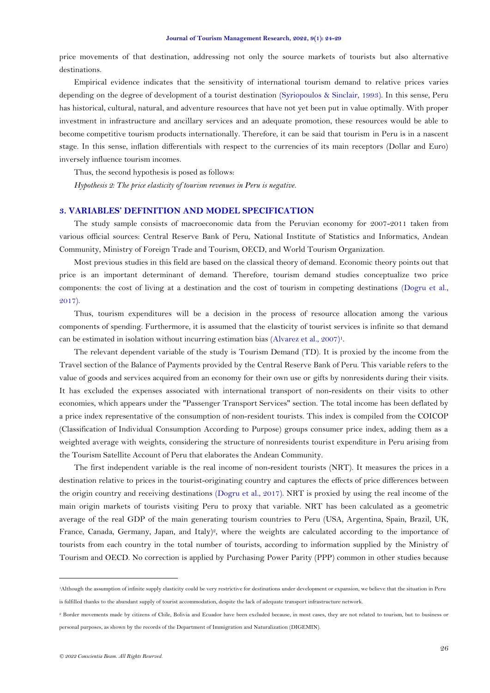price movements of that destination, addressing not only the source markets of tourists but also alternative destinations.

Empirical evidence indicates that the sensitivity of international tourism demand to relative prices varies depending on the degree of development of a tourist destination [\(Syriopoulos & Sinclair, 1993\)](#page-5-8). In this sense, Peru has historical, cultural, natural, and adventure resources that have not yet been put in value optimally. With proper investment in infrastructure and ancillary services and an adequate promotion, these resources would be able to become competitive tourism products internationally. Therefore, it can be said that tourism in Peru is in a nascent stage. In this sense, inflation differentials with respect to the currencies of its main receptors (Dollar and Euro) inversely influence tourism incomes.

Thus, the second hypothesis is posed as follows:

*Hypothesis 2: The price elasticity of tourism revenues in Peru is negative.*

# **3. VARIABLES' DEFINITION AND MODEL SPECIFICATION**

The study sample consists of macroeconomic data from the Peruvian economy for 2007-2011 taken from various official sources: Central Reserve Bank of Peru, National Institute of Statistics and Informatics, Andean Community, Ministry of Foreign Trade and Tourism, OECD, and World Tourism Organization.

Most previous studies in this field are based on the classical theory of demand. Economic theory points out that price is an important determinant of demand. Therefore, tourism demand studies conceptualize two price components: the cost of living at a destination and the cost of tourism in competing destinations [\(Dogru et al.,](#page-4-4)  [2017\)](#page-4-4).

Thus, tourism expenditures will be a decision in the process of resource allocation among the various components of spending. Furthermore, it is assumed that the elasticity of tourist services is infinite so that demand can be estimated in isolation without incurring estimation bias [\(Alvarez et al., 2007\)](#page-4-2)<sup>1</sup>.

The relevant dependent variable of the study is Tourism Demand (TD). It is proxied by the income from the Travel section of the Balance of Payments provided by the Central Reserve Bank of Peru. This variable refers to the value of goods and services acquired from an economy for their own use or gifts by nonresidents during their visits. It has excluded the expenses associated with international transport of non-residents on their visits to other economies, which appears under the "Passenger Transport Services" section. The total income has been deflated by a price index representative of the consumption of non-resident tourists. This index is compiled from the COICOP (Classification of Individual Consumption According to Purpose) groups consumer price index, adding them as a weighted average with weights, considering the structure of nonresidents tourist expenditure in Peru arising from the Tourism Satellite Account of Peru that elaborates the Andean Community.

The first independent variable is the real income of non-resident tourists (NRT). It measures the prices in a destination relative to prices in the tourist-originating country and captures the effects of price differences between the origin country and receiving destinations [\(Dogru et al., 2017\)](#page-4-4). NRT is proxied by using the real income of the main origin markets of tourists visiting Peru to proxy that variable. NRT has been calculated as a geometric average of the real GDP of the main generating tourism countries to Peru (USA, Argentina, Spain, Brazil, UK, France, Canada, Germany, Japan, and Italy)<sup>2</sup>, where the weights are calculated according to the importance of tourists from each country in the total number of tourists, according to information supplied by the Ministry of Tourism and OECD. No correction is applied by Purchasing Power Parity (PPP) common in other studies because

<sup>1</sup>Although the assumption of infinite supply elasticity could be very restrictive for destinations under development or expansion, we believe that the situation in Peru is fulfilled thanks to the abundant supply of tourist accommodation, despite the lack of adequate transport infrastructure network.

<sup>&</sup>lt;sup>2</sup> Border movements made by citizens of Chile, Bolivia and Ecuador have been excluded because, in most cases, they are not related to tourism, but to business or personal purposes, as shown by the records of the Department of Immigration and Naturalization (DIGEMIN).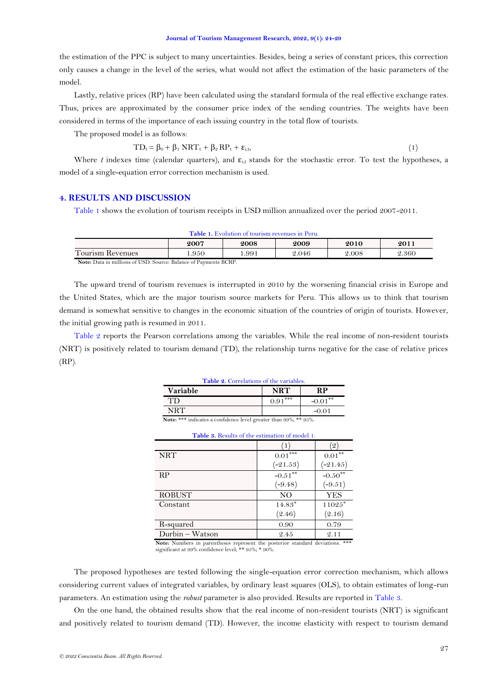the estimation of the PPC is subject to many uncertainties. Besides, being a series of constant prices, this correction only causes a change in the level of the series, what would not affect the estimation of the basic parameters of the model.

Lastly, relative prices (RP) have been calculated using the standard formula of the real effective exchange rates. Thus, prices are approximated by the consumer price index of the sending countries. The weights have been considered in terms of the importance of each issuing country in the total flow of tourists.

The proposed model is as follows:

$$
TD_t = \beta_0 + \beta_1 NRT_t + \beta_2 RP_t + \varepsilon_{i,t},
$$
\n(1)

Where *t* indexes time (calendar quarters), and  $\varepsilon_{i,t}$  stands for the stochastic error. To test the hypotheses, a model of a single-equation error correction mechanism is used.

### **4. RESULTS AND DISCUSSION**

[Table 1](#page-3-0) shows the evolution of tourism receipts in USD million annualized over the period 2007-2011.

<span id="page-3-0"></span>

| <b>Table 1.</b> Evolution of tourism revenues in Peru.                                                                                   |                                |        |       |       |       |  |
|------------------------------------------------------------------------------------------------------------------------------------------|--------------------------------|--------|-------|-------|-------|--|
|                                                                                                                                          | 2007                           | 2008   | 2009  | 2010  | 201   |  |
| <b>Tourism Revenues</b>                                                                                                                  | .950                           | . .991 | 2.046 | 2.008 | 2.360 |  |
| <br>$0.72222 - 0.022$<br>the contract of the contract of the contract of the contract of the contract of the contract of the contract of | $\sim$ $\sim$<br>$\sim$ $\sim$ | P(X)   |       |       |       |  |

**Note:** Data in millions of USD. Source: Balance of Payments BCRP.

The upward trend of tourism revenues is interrupted in 2010 by the worsening financial crisis in Europe and the United States, which are the major tourism source markets for Peru. This allows us to think that tourism demand is somewhat sensitive to changes in the economic situation of the countries of origin of tourists. However, the initial growing path is resumed in 2011.

<span id="page-3-1"></span>[Table 2](#page-3-1) reports the Pearson correlations among the variables. While the real income of non-resident tourists (NRT) is positively related to tourism demand (TD), the relationship turns negative for the case of relative prices (RP).

| <b>Table 2.</b> Correlations of the variables. |             |            |  |  |  |
|------------------------------------------------|-------------|------------|--|--|--|
| Variable                                       | <b>NRT</b>  | RР         |  |  |  |
| TD.                                            | ***<br>0.91 | $-0.01***$ |  |  |  |
| NRT                                            |             | $-0.01$    |  |  |  |

Note: \*\*\* indicates a confidence level greater than 99%, \*\* 95%

<span id="page-3-2"></span>

| <b>Table 3.</b> Results of the estimation of model 1. |            |                   |  |  |  |
|-------------------------------------------------------|------------|-------------------|--|--|--|
|                                                       | (1)        | $\mathcal{L}$     |  |  |  |
| <b>NRT</b>                                            | $0.01***$  | $0.01^{\ast\ast}$ |  |  |  |
|                                                       | $(-21.53)$ | $(-21.45)$        |  |  |  |
| <b>RP</b>                                             | $-0.51***$ | $-0.50***$        |  |  |  |
|                                                       | $(-9.48)$  | $(-9.51)$         |  |  |  |
| <b>ROBUST</b>                                         | NO.        | <b>YES</b>        |  |  |  |
| Constant                                              | $14.83*$   | $11025*$          |  |  |  |
|                                                       | (2.46)     | (2.16)            |  |  |  |
| R-squared                                             | 0.90       | 0.79              |  |  |  |
| Durbin – Watson                                       | 2.45       | 2.11              |  |  |  |

Note: Numbers in parentheses represent the posterior standard deviations. \*\*\*<br>significant at 99% confidence level; \*\* 95%; \* 90%.

The proposed hypotheses are tested following the single-equation error correction mechanism, which allows considering current values of integrated variables, by ordinary least squares (OLS), to obtain estimates of long-run parameters. An estimation using the *robust* parameter is also provided. Results are reported in [Table 3.](#page-3-2)

On the one hand, the obtained results show that the real income of non-resident tourists (NRT) is significant and positively related to tourism demand (TD). However, the income elasticity with respect to tourism demand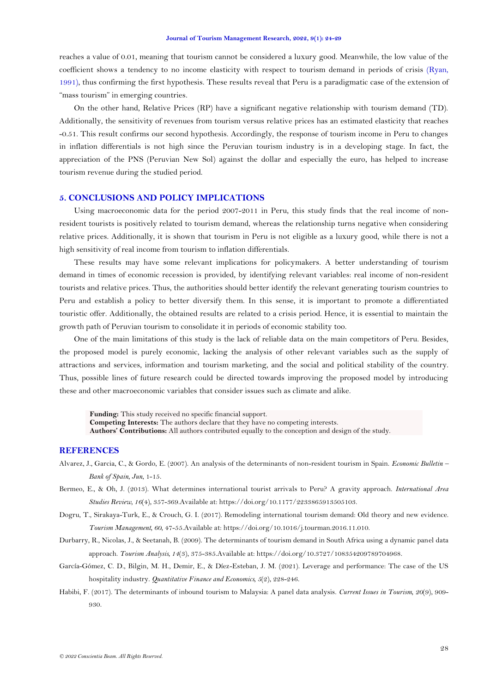reaches a value of 0.01, meaning that tourism cannot be considered a luxury good. Meanwhile, the low value of the coefficient shows a tendency to no income elasticity with respect to tourism demand in periods of crisis [\(Ryan,](#page-5-7)  [1991\)](#page-5-7), thus confirming the first hypothesis. These results reveal that Peru is a paradigmatic case of the extension of "mass tourism" in emerging countries.

On the other hand, Relative Prices (RP) have a significant negative relationship with tourism demand (TD). Additionally, the sensitivity of revenues from tourism versus relative prices has an estimated elasticity that reaches -0.51. This result confirms our second hypothesis. Accordingly, the response of tourism income in Peru to changes in inflation differentials is not high since the Peruvian tourism industry is in a developing stage. In fact, the appreciation of the PNS (Peruvian New Sol) against the dollar and especially the euro, has helped to increase tourism revenue during the studied period.

# **5. CONCLUSIONS AND POLICY IMPLICATIONS**

Using macroeconomic data for the period 2007-2011 in Peru, this study finds that the real income of nonresident tourists is positively related to tourism demand, whereas the relationship turns negative when considering relative prices. Additionally, it is shown that tourism in Peru is not eligible as a luxury good, while there is not a high sensitivity of real income from tourism to inflation differentials.

These results may have some relevant implications for policymakers. A better understanding of tourism demand in times of economic recession is provided, by identifying relevant variables: real income of non-resident tourists and relative prices. Thus, the authorities should better identify the relevant generating tourism countries to Peru and establish a policy to better diversify them. In this sense, it is important to promote a differentiated touristic offer. Additionally, the obtained results are related to a crisis period. Hence, it is essential to maintain the growth path of Peruvian tourism to consolidate it in periods of economic stability too.

One of the main limitations of this study is the lack of reliable data on the main competitors of Peru. Besides, the proposed model is purely economic, lacking the analysis of other relevant variables such as the supply of attractions and services, information and tourism marketing, and the social and political stability of the country. Thus, possible lines of future research could be directed towards improving the proposed model by introducing these and other macroeconomic variables that consider issues such as climate and alike.

**Funding:** This study received no specific financial support.

**Competing Interests:** The authors declare that they have no competing interests.

**Authors' Contributions:** All authors contributed equally to the conception and design of the study.

# **REFERENCES**

- <span id="page-4-2"></span>Alvarez, J., Garcia, C., & Gordo, E. (2007). An analysis of the determinants of non-resident tourism in Spain. *Economic Bulletin – Bank of Spain, Jun*, 1-15.
- <span id="page-4-0"></span>Bermeo, E., & Oh, J. (2013). What determines international tourist arrivals to Peru? A gravity approach. *International Area Studies Review, 16*(4), 357-369.Available at: https://doi.org/10.1177/2233865913505103.
- <span id="page-4-4"></span>Dogru, T., Sirakaya-Turk, E., & Crouch, G. I. (2017). Remodeling international tourism demand: Old theory and new evidence. *Tourism Management, 60*, 47-55.Available at: https://doi.org/10.1016/j.tourman.2016.11.010.
- <span id="page-4-3"></span>Durbarry, R., Nicolas, J., & Seetanah, B. (2009). The determinants of tourism demand in South Africa using a dynamic panel data approach. *Tourism Analysis, 14*(3), 375-385.Available at: https://doi.org/10.3727/108354209789704968.
- <span id="page-4-5"></span>García-Gómez, C. D., Bilgin, M. H., Demir, E., & Díez-Esteban, J. M. (2021). Leverage and performance: The case of the US hospitality industry. *Quantitative Finance and Economics, 5*(2), 228-246.
- <span id="page-4-1"></span>Habibi, F. (2017). The determinants of inbound tourism to Malaysia: A panel data analysis. *Current Issues in Tourism, 20*(9), 909- 930.